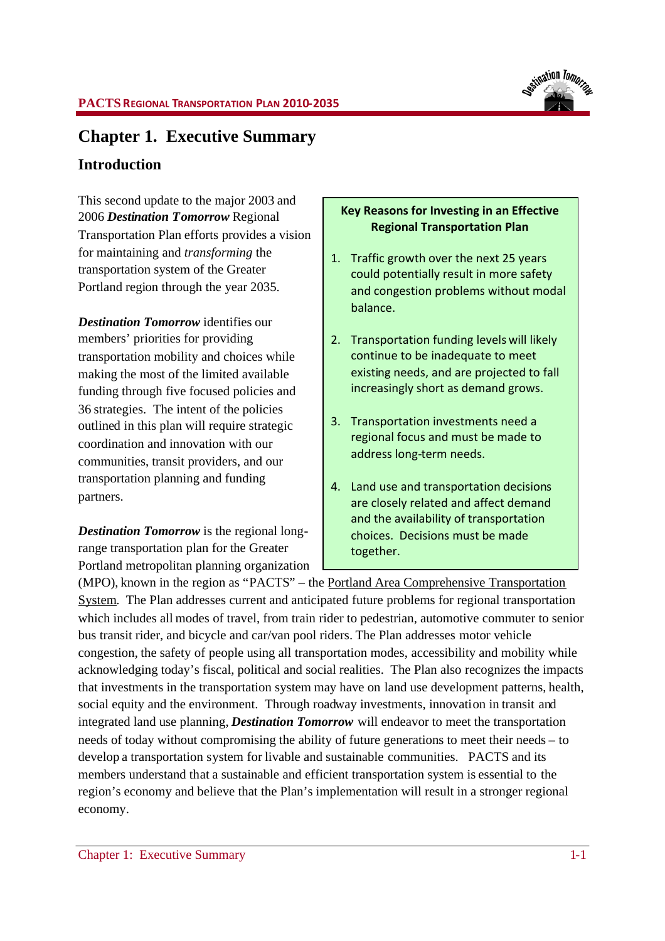

# **Chapter 1. Executive Summary**

## **Introduction**

This second update to the major 2003 and 2006 *Destination Tomorrow* Regional Transportation Plan efforts provides a vision for maintaining and *transforming* the transportation system of the Greater Portland region through the year 2035.

*Destination Tomorrow* identifies our members' priorities for providing transportation mobility and choices while making the most of the limited available funding through five focused policies and 36 strategies. The intent of the policies outlined in this plan will require strategic coordination and innovation with our communities, transit providers, and our transportation planning and funding partners.

*Destination Tomorrow* is the regional longrange transportation plan for the Greater Portland metropolitan planning organization

## **Key Reasons for Investing in an Effective Regional Transportation Plan**

- 1. Traffic growth over the next 25 years could potentially result in more safety and congestion problems without modal balance.
- 2. Transportation funding levels will likely continue to be inadequate to meet existing needs, and are projected to fall increasingly short as demand grows.
- 3. Transportation investments need a regional focus and must be made to address long-term needs.
- 4. Land use and transportation decisions are closely related and affect demand and the availability of transportation choices. Decisions must be made together.

(MPO), known in the region as "PACTS" – the Portland Area Comprehensive Transportation System. The Plan addresses current and anticipated future problems for regional transportation which includes all modes of travel, from train rider to pedestrian, automotive commuter to senior bus transit rider, and bicycle and car/van pool riders. The Plan addresses motor vehicle congestion, the safety of people using all transportation modes, accessibility and mobility while acknowledging today's fiscal, political and social realities. The Plan also recognizes the impacts that investments in the transportation system may have on land use development patterns, health, social equity and the environment. Through roadway investments, innovation in transit and integrated land use planning, *Destination Tomorrow* will endeavor to meet the transportation needs of today without compromising the ability of future generations to meet their needs – to develop a transportation system for livable and sustainable communities. PACTS and its members understand that a sustainable and efficient transportation system is essential to the region's economy and believe that the Plan's implementation will result in a stronger regional economy.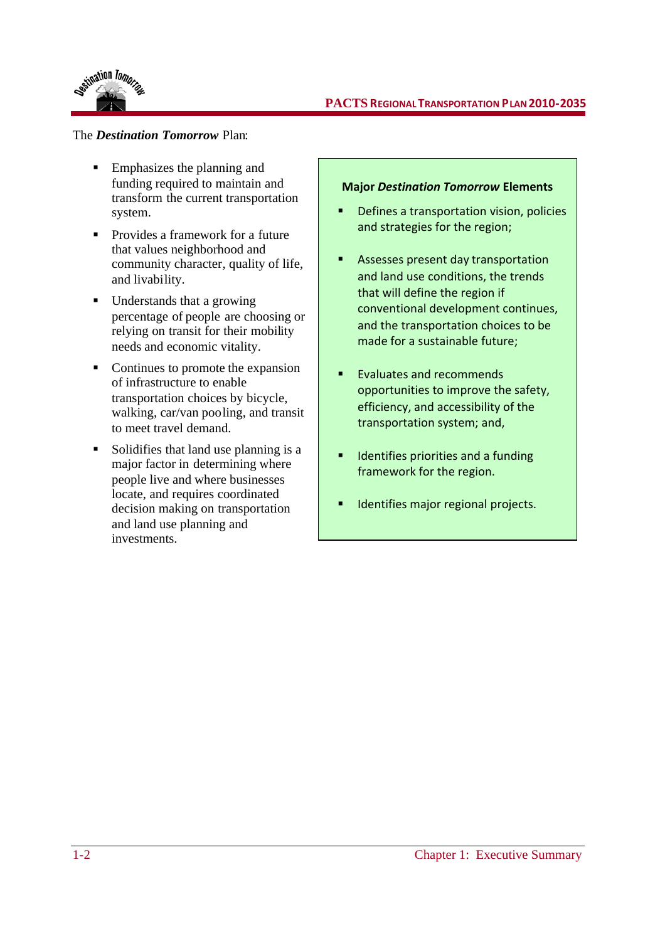

### **PACTS REGIONALTRANSPORTATION PLAN2010-2035**

### The *Destination Tomorrow* Plan:

- Emphasizes the planning and funding required to maintain and transform the current transportation system.
- Provides a framework for a future that values neighborhood and community character, quality of life, and livability.
- Understands that a growing percentage of people are choosing or relying on transit for their mobility needs and economic vitality.
- Continues to promote the expansion of infrastructure to enable transportation choices by bicycle, walking, car/van pooling, and transit to meet travel demand.
- Solidifies that land use planning is a major factor in determining where people live and where businesses locate, and requires coordinated decision making on transportation and land use planning and investments.

#### **Major** *Destination Tomorrow* **Elements**

- Defines a transportation vision, policies and strategies for the region;
- **Assesses present day transportation** and land use conditions, the trends that will define the region if conventional development continues, and the transportation choices to be made for a sustainable future;
- Evaluates and recommends opportunities to improve the safety, efficiency, and accessibility of the transportation system; and,
- Identifies priorities and a funding framework for the region.
- **IDED** Identifies major regional projects.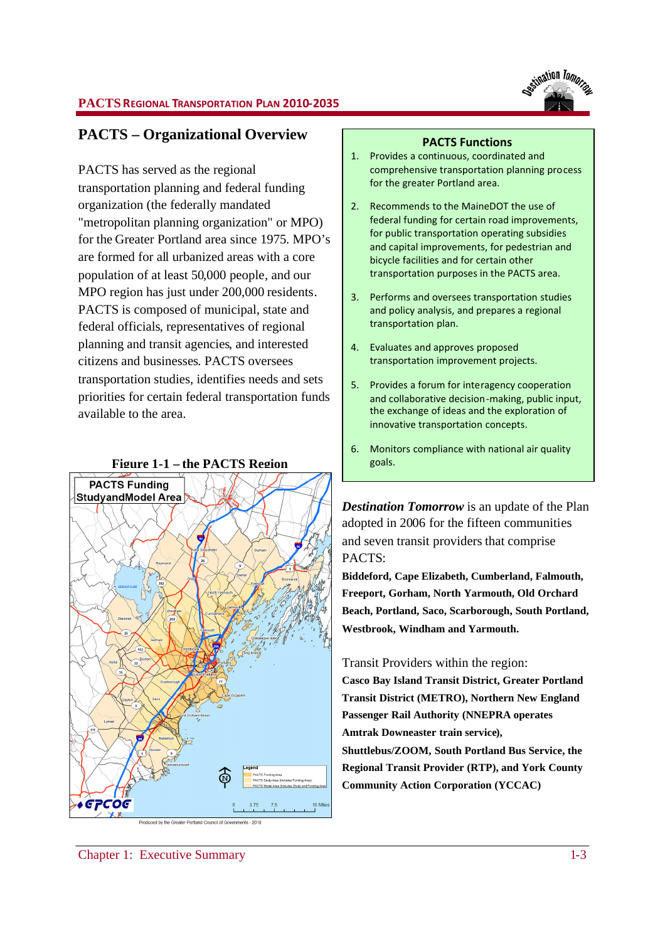

### **PACTS REGIONAL TRANSPORTATION PLAN 2010-2035**

## **PACTS – Organizational Overview**

PACTS has served as the regional transportation planning and federal funding organization (the federally mandated "metropolitan planning organization" or MPO) for the Greater Portland area since 1975. MPO's are formed for all urbanized areas with a core population of at least 50,000 people, and our MPO region has just under 200,000 residents. PACTS is composed of municipal, state and federal officials, representatives of regional planning and transit agencies, and interested citizens and businesses. PACTS oversees transportation studies, identifies needs and sets priorities for certain federal transportation funds available to the area.



#### **PACTS Functions**

- 1. Provides a continuous, coordinated and comprehensive transportation planning process for the greater Portland area.
- 2. Recommends to the MaineDOT the use of federal funding for certain road improvements, for public transportation operating subsidies and capital improvements, for pedestrian and bicycle facilities and for certain other transportation purposes in the PACTS area.
- 3. Performs and oversees transportation studies and policy analysis, and prepares a regional transportation plan.
- 4. Evaluates and approves proposed transportation improvement projects.
- 5. Provides a forum for interagency cooperation and collaborative decision-making, public input, the exchange of ideas and the exploration of innovative transportation concepts.
- 6. Monitors compliance with national air quality

*Destination Tomorrow* is an update of the Plan adopted in 2006 for the fifteen communities and seven transit providers that comprise PACTS:

**Biddeford, Cape Elizabeth, Cumberland, Falmouth, Freeport, Gorham, North Yarmouth, Old Orchard Beach, Portland, Saco, Scarborough, South Portland, Westbrook, Windham and Yarmouth.**

Transit Providers within the region:

**Casco Bay Island Transit District, Greater Portland Transit District (METRO), Northern New England Passenger Rail Authority (NNEPRA operates Amtrak Downeaster train service), Shuttlebus/ZOOM, South Portland Bus Service, the Regional Transit Provider (RTP), and York County Community Action Corporation (YCCAC)**

Chapter 1: Executive Summary 1-3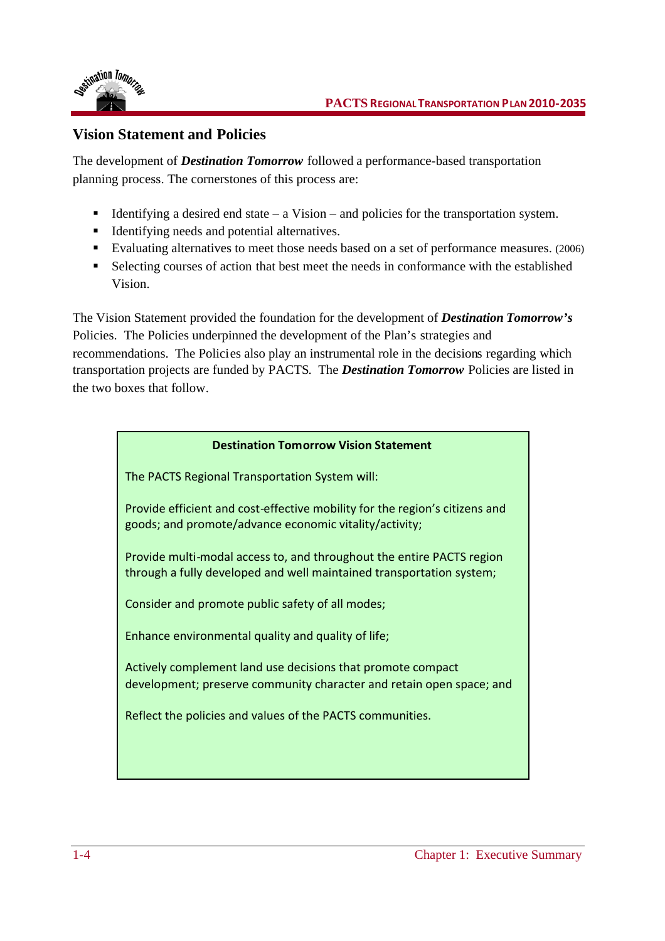

## **Vision Statement and Policies**

The development of *Destination Tomorrow* followed a performance-based transportation planning process. The cornerstones of this process are:

- Identifying a desired end state  $-$  a Vision  $-$  and policies for the transportation system.
- Identifying needs and potential alternatives.
- Evaluating alternatives to meet those needs based on a set of performance measures. (2006)
- Selecting courses of action that best meet the needs in conformance with the established Vision.

The Vision Statement provided the foundation for the development of *Destination Tomorrow's* Policies. The Policies underpinned the development of the Plan's strategies and recommendations. The Policies also play an instrumental role in the decisions regarding which transportation projects are funded by PACTS. The *Destination Tomorrow* Policies are listed in the two boxes that follow.

## **Destination Tomorrow Vision Statement**

The PACTS Regional Transportation System will:

Provide efficient and cost-effective mobility for the region's citizens and goods; and promote/advance economic vitality/activity;

Provide multi-modal access to, and throughout the entire PACTS region through a fully developed and well maintained transportation system;

Consider and promote public safety of all modes;

Enhance environmental quality and quality of life;

Actively complement land use decisions that promote compact development; preserve community character and retain open space; and

Reflect the policies and values of the PACTS communities.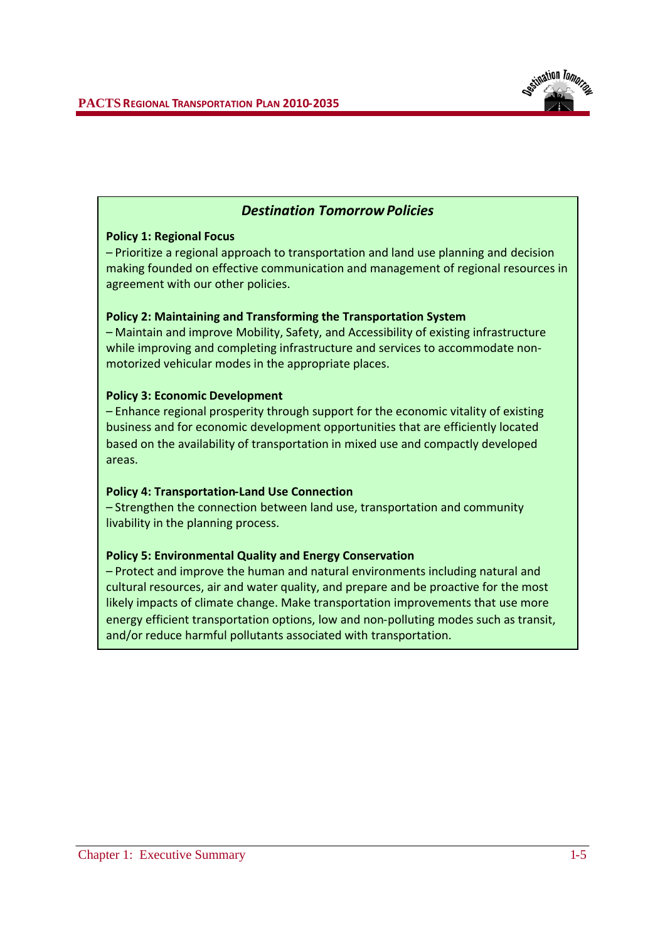

## *Destination Tomorrow Policies*

### **Policy 1: Regional Focus**

– Prioritize a regional approach to transportation and land use planning and decision making founded on effective communication and management of regional resources in agreement with our other policies.

### **Policy 2: Maintaining and Transforming the Transportation System**

– Maintain and improve Mobility, Safety, and Accessibility of existing infrastructure while improving and completing infrastructure and services to accommodate nonmotorized vehicular modes in the appropriate places.

### **Policy 3: Economic Development**

– Enhance regional prosperity through support for the economic vitality of existing business and for economic development opportunities that are efficiently located based on the availability of transportation in mixed use and compactly developed areas.

#### **Policy 4: Transportation-Land Use Connection**

– Strengthen the connection between land use, transportation and community livability in the planning process.

### **Policy 5: Environmental Quality and Energy Conservation**

– Protect and improve the human and natural environments including natural and cultural resources, air and water quality, and prepare and be proactive for the most likely impacts of climate change. Make transportation improvements that use more energy efficient transportation options, low and non-polluting modes such as transit, and/or reduce harmful pollutants associated with transportation.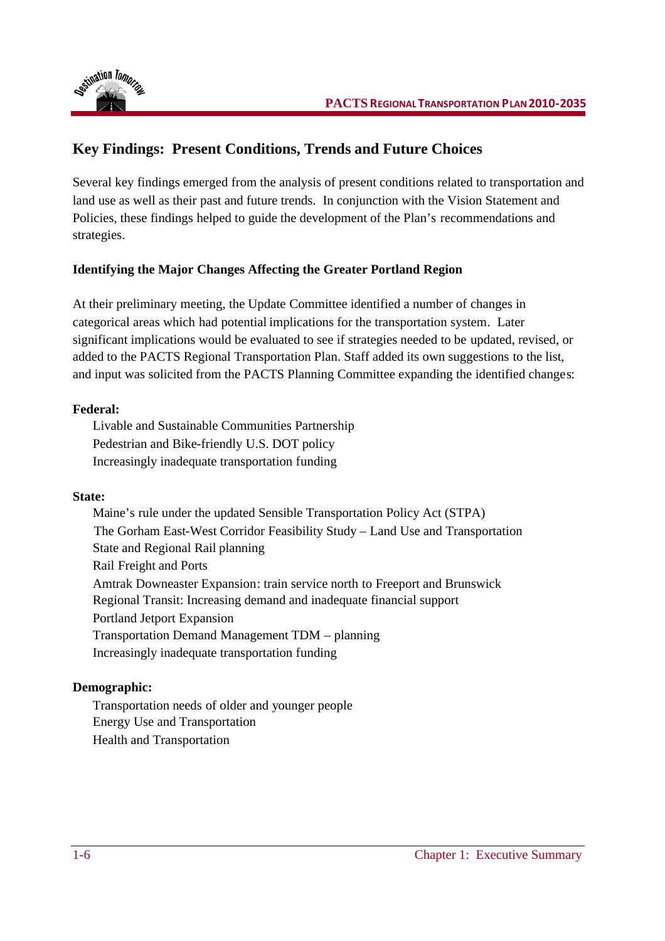

# **Key Findings: Present Conditions, Trends and Future Choices**

Several key findings emerged from the analysis of present conditions related to transportation and land use as well as their past and future trends. In conjunction with the Vision Statement and Policies, these findings helped to guide the development of the Plan's recommendations and strategies.

## **Identifying the Major Changes Affecting the Greater Portland Region**

At their preliminary meeting, the Update Committee identified a number of changes in categorical areas which had potential implications for the transportation system. Later significant implications would be evaluated to see if strategies needed to be updated, revised, or added to the PACTS Regional Transportation Plan. Staff added its own suggestions to the list, and input was solicited from the PACTS Planning Committee expanding the identified changes:

## **Federal:**

Livable and Sustainable Communities Partnership Pedestrian and Bike-friendly U.S. DOT policy Increasingly inadequate transportation funding

## **State:**

Maine's rule under the updated Sensible Transportation Policy Act (STPA) The Gorham East-West Corridor Feasibility Study – Land Use and Transportation State and Regional Rail planning Rail Freight and Ports Amtrak Downeaster Expansion: train service north to Freeport and Brunswick Regional Transit: Increasing demand and inadequate financial support Portland Jetport Expansion Transportation Demand Management TDM – planning Increasingly inadequate transportation funding

## **Demographic:**

Transportation needs of older and younger people Energy Use and Transportation Health and Transportation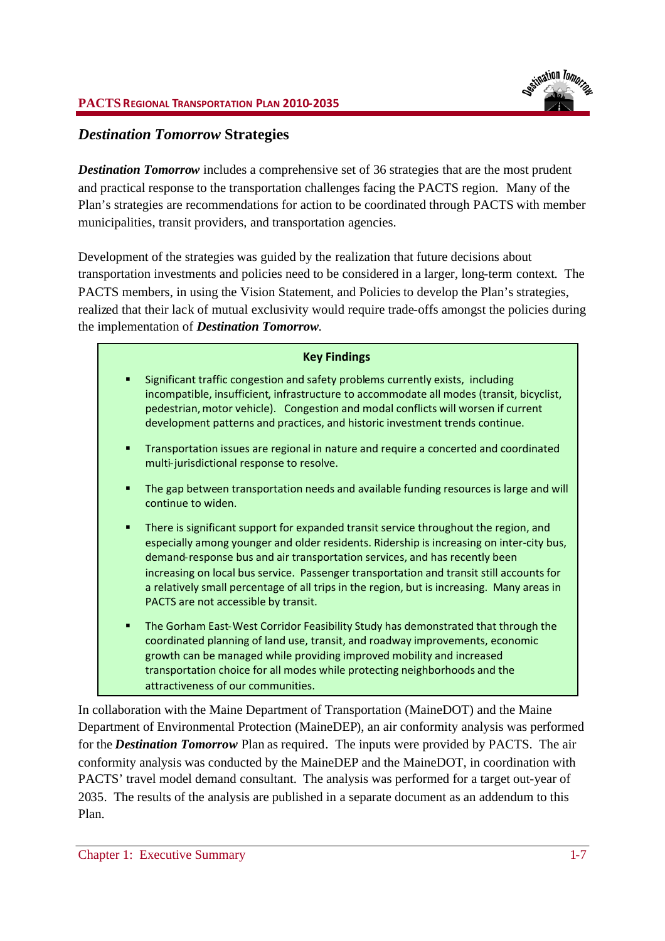## *Destination Tomorrow* **Strategies**

*Destination Tomorrow* includes a comprehensive set of 36 strategies that are the most prudent and practical response to the transportation challenges facing the PACTS region. Many of the Plan's strategies are recommendations for action to be coordinated through PACTS with member municipalities, transit providers, and transportation agencies.

Development of the strategies was guided by the realization that future decisions about transportation investments and policies need to be considered in a larger, long-term context. The PACTS members, in using the Vision Statement, and Policies to develop the Plan's strategies, realized that their lack of mutual exclusivity would require trade-offs amongst the policies during the implementation of *Destination Tomorrow*.

## **Key Findings**

- Significant traffic congestion and safety problems currently exists, including incompatible, insufficient, infrastructure to accommodate all modes (transit, bicyclist, pedestrian,motor vehicle). Congestion and modal conflicts will worsen if current development patterns and practices, and historic investment trends continue.
- Transportation issues are regional in nature and require a concerted and coordinated multi-jurisdictional response to resolve.
- The gap between transportation needs and available funding resources is large and will continue to widen.
- There is significant support for expanded transit service throughout the region, and especially among younger and older residents. Ridership is increasing on inter-city bus, demand-response bus and air transportation services, and has recently been increasing on local bus service. Passenger transportation and transit still accounts for a relatively small percentage of all trips in the region, but is increasing. Many areas in PACTS are not accessible by transit.
- The Gorham East-West Corridor Feasibility Study has demonstrated that through the coordinated planning of land use, transit, and roadway improvements, economic growth can be managed while providing improved mobility and increased transportation choice for all modes while protecting neighborhoods and the attractiveness of our communities.

In collaboration with the Maine Department of Transportation (MaineDOT) and the Maine Department of Environmental Protection (MaineDEP), an air conformity analysis was performed for the *Destination Tomorrow* Plan as required. The inputs were provided by PACTS. The air conformity analysis was conducted by the MaineDEP and the MaineDOT, in coordination with PACTS' travel model demand consultant. The analysis was performed for a target out-year of 2035. The results of the analysis are published in a separate document as an addendum to this Plan.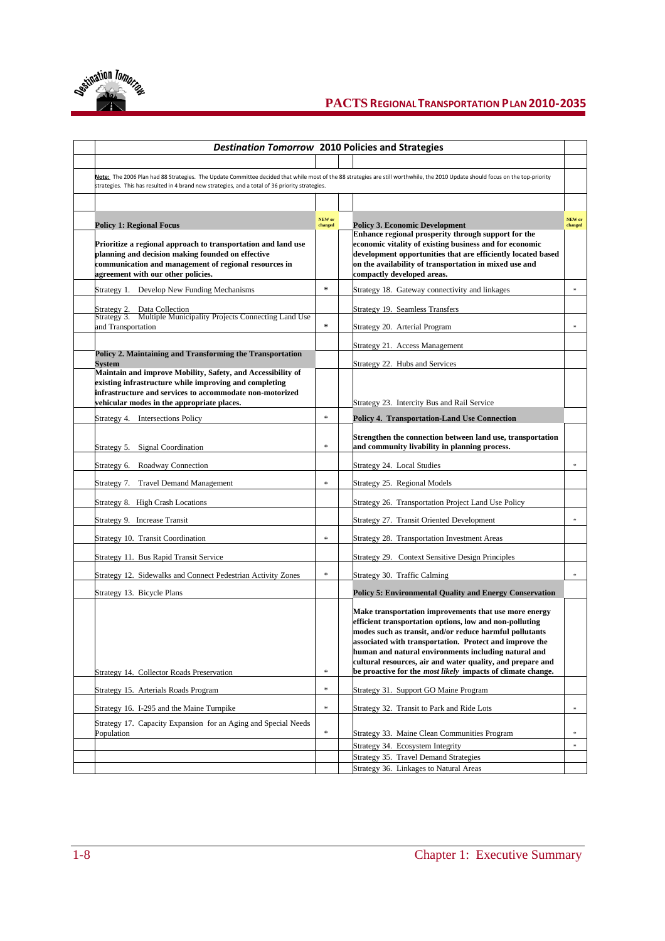

## **PACTS REGIONALTRANSPORTATION PLAN2010-2035**

| <b>Destination Tomorrow 2010 Policies and Strategies</b>                                                                                                                                                                                             |         |                                                                                                                                                                                                                                                                                                                                                                                                                                    |                            |  |
|------------------------------------------------------------------------------------------------------------------------------------------------------------------------------------------------------------------------------------------------------|---------|------------------------------------------------------------------------------------------------------------------------------------------------------------------------------------------------------------------------------------------------------------------------------------------------------------------------------------------------------------------------------------------------------------------------------------|----------------------------|--|
| Note: The 2006 Plan had 88 Strategies. The Update Committee decided that while most of the 88 strategies are still worthwhile, the 2010 Update should focus on the top-priority                                                                      |         |                                                                                                                                                                                                                                                                                                                                                                                                                                    |                            |  |
| strategies. This has resulted in 4 brand new strategies, and a total of 36 priority strategies.                                                                                                                                                      |         |                                                                                                                                                                                                                                                                                                                                                                                                                                    |                            |  |
|                                                                                                                                                                                                                                                      | NEW or  |                                                                                                                                                                                                                                                                                                                                                                                                                                    | NEW or                     |  |
| <b>Policy 1: Regional Focus</b><br>Prioritize a regional approach to transportation and land use<br>planning and decision making founded on effective<br>communication and management of regional resources in<br>agreement with our other policies. | changed | <b>Policy 3. Economic Development</b><br>Enhance regional prosperity through support for the<br>economic vitality of existing business and for economic<br>development opportunities that are efficiently located based<br>on the availability of transportation in mixed use and<br>compactly developed areas.                                                                                                                    | changed                    |  |
| Strategy 1. Develop New Funding Mechanisms                                                                                                                                                                                                           | $\star$ | Strategy 18. Gateway connectivity and linkages                                                                                                                                                                                                                                                                                                                                                                                     | $\ast$                     |  |
| Strategy 2. Data Collection<br>Strategy 3. Multiple Municipality Projects Connecting Land Use                                                                                                                                                        |         | Strategy 19. Seamless Transfers                                                                                                                                                                                                                                                                                                                                                                                                    |                            |  |
| and Transportation                                                                                                                                                                                                                                   | $\pm$   | Strategy 20. Arterial Program                                                                                                                                                                                                                                                                                                                                                                                                      | $\ast$                     |  |
| Policy 2. Maintaining and Transforming the Transportation                                                                                                                                                                                            |         | Strategy 21. Access Management                                                                                                                                                                                                                                                                                                                                                                                                     |                            |  |
| Svstem                                                                                                                                                                                                                                               |         | Strategy 22. Hubs and Services                                                                                                                                                                                                                                                                                                                                                                                                     |                            |  |
| Maintain and improve Mobility, Safety, and Accessibility of<br>existing infrastructure while improving and completing<br>infrastructure and services to accommodate non-motorized<br>vehicular modes in the appropriate places.                      |         | Strategy 23. Intercity Bus and Rail Service                                                                                                                                                                                                                                                                                                                                                                                        |                            |  |
| Strategy 4. Intersections Policy                                                                                                                                                                                                                     | $\ast$  | <b>Policy 4. Transportation-Land Use Connection</b>                                                                                                                                                                                                                                                                                                                                                                                |                            |  |
| <b>Signal Coordination</b><br>Strategy 5.                                                                                                                                                                                                            | $\ast$  | Strengthen the connection between land use, transportation<br>and community livability in planning process.                                                                                                                                                                                                                                                                                                                        |                            |  |
| Strategy 6.<br>Roadway Connection                                                                                                                                                                                                                    |         | Strategy 24. Local Studies                                                                                                                                                                                                                                                                                                                                                                                                         | $\ast$                     |  |
| Strategy 7. Travel Demand Management                                                                                                                                                                                                                 | $\ast$  | Strategy 25. Regional Models                                                                                                                                                                                                                                                                                                                                                                                                       |                            |  |
| Strategy 8. High Crash Locations                                                                                                                                                                                                                     |         | Strategy 26. Transportation Project Land Use Policy                                                                                                                                                                                                                                                                                                                                                                                |                            |  |
| Strategy 9. Increase Transit                                                                                                                                                                                                                         |         | Strategy 27. Transit Oriented Development                                                                                                                                                                                                                                                                                                                                                                                          | $\ast$                     |  |
| Strategy 10. Transit Coordination                                                                                                                                                                                                                    | $\ast$  | Strategy 28. Transportation Investment Areas                                                                                                                                                                                                                                                                                                                                                                                       |                            |  |
| Strategy 11. Bus Rapid Transit Service                                                                                                                                                                                                               |         | Strategy 29. Context Sensitive Design Principles                                                                                                                                                                                                                                                                                                                                                                                   |                            |  |
| Strategy 12. Sidewalks and Connect Pedestrian Activity Zones                                                                                                                                                                                         | $\ast$  | Strategy 30. Traffic Calming                                                                                                                                                                                                                                                                                                                                                                                                       | $\ast$                     |  |
| Strategy 13. Bicycle Plans                                                                                                                                                                                                                           |         | <b>Policy 5: Environmental Quality and Energy Conservation</b>                                                                                                                                                                                                                                                                                                                                                                     |                            |  |
| Strategy 14. Collector Roads Preservation                                                                                                                                                                                                            | $\ast$  | Make transportation improvements that use more energy<br>efficient transportation options, low and non-polluting<br>modes such as transit, and/or reduce harmful pollutants<br>associated with transportation. Protect and improve the<br>human and natural environments including natural and<br>cultural resources, air and water quality, and prepare and<br>be proactive for the <i>most likely</i> impacts of climate change. |                            |  |
| Strategy 15. Arterials Roads Program                                                                                                                                                                                                                 | $\ast$  | Strategy 31. Support GO Maine Program                                                                                                                                                                                                                                                                                                                                                                                              |                            |  |
| Strategy 16. I-295 and the Maine Turnpike                                                                                                                                                                                                            | $\ast$  | Strategy 32. Transit to Park and Ride Lots                                                                                                                                                                                                                                                                                                                                                                                         | $\ast$                     |  |
| Strategy 17. Capacity Expansion for an Aging and Special Needs                                                                                                                                                                                       |         |                                                                                                                                                                                                                                                                                                                                                                                                                                    |                            |  |
| Population                                                                                                                                                                                                                                           | $\ast$  | Strategy 33. Maine Clean Communities Program<br>Strategy 34. Ecosystem Integrity                                                                                                                                                                                                                                                                                                                                                   | $\approx$<br>$\frac{1}{2}$ |  |
|                                                                                                                                                                                                                                                      |         | Strategy 35. Travel Demand Strategies                                                                                                                                                                                                                                                                                                                                                                                              |                            |  |
|                                                                                                                                                                                                                                                      |         | Strategy 36. Linkages to Natural Areas                                                                                                                                                                                                                                                                                                                                                                                             |                            |  |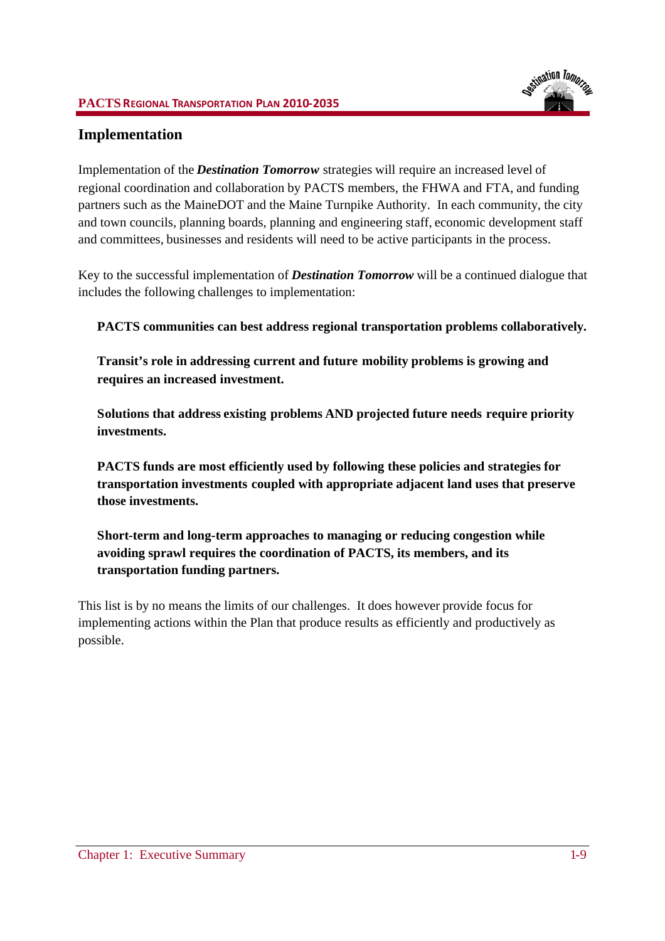### **PACTS REGIONAL TRANSPORTATION PLAN 2010-2035**

## **Implementation**

Implementation of the *Destination Tomorrow* strategies will require an increased level of regional coordination and collaboration by PACTS members, the FHWA and FTA, and funding partners such as the MaineDOT and the Maine Turnpike Authority. In each community, the city and town councils, planning boards, planning and engineering staff, economic development staff and committees, businesses and residents will need to be active participants in the process.

Key to the successful implementation of *Destination Tomorrow* will be a continued dialogue that includes the following challenges to implementation:

**PACTS communities can best address regional transportation problems collaboratively.**

**Transit's role in addressing current and future mobility problems is growing and requires an increased investment.**

**Solutions that address existing problems AND projected future needs require priority investments.**

**PACTS funds are most efficiently used by following these policies and strategies for transportation investments coupled with appropriate adjacent land uses that preserve those investments.**

**Short-term and long-term approaches to managing or reducing congestion while avoiding sprawl requires the coordination of PACTS, its members, and its transportation funding partners.**

This list is by no means the limits of our challenges. It does however provide focus for implementing actions within the Plan that produce results as efficiently and productively as possible.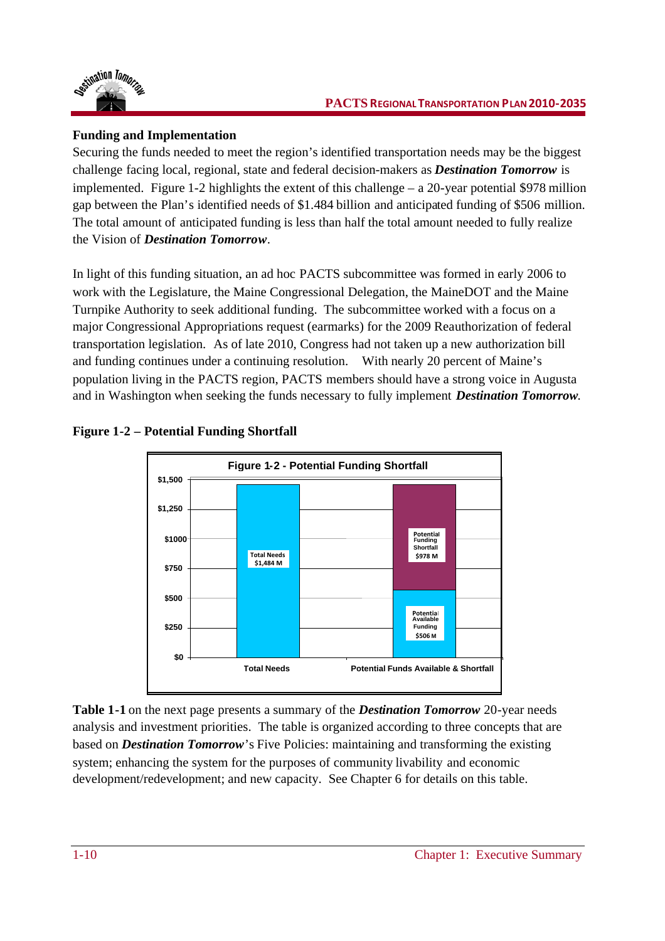

## **Funding and Implementation**

Securing the funds needed to meet the region's identified transportation needs may be the biggest challenge facing local, regional, state and federal decision-makers as *Destination Tomorrow* is implemented. Figure 1-2 highlights the extent of this challenge  $- a 20$ -year potential \$978 million gap between the Plan's identified needs of \$1.484 billion and anticipated funding of \$506 million. The total amount of anticipated funding is less than half the total amount needed to fully realize the Vision of *Destination Tomorrow*.

In light of this funding situation, an ad hoc PACTS subcommittee was formed in early 2006 to work with the Legislature, the Maine Congressional Delegation, the MaineDOT and the Maine Turnpike Authority to seek additional funding. The subcommittee worked with a focus on a major Congressional Appropriations request (earmarks) for the 2009 Reauthorization of federal transportation legislation. As of late 2010, Congress had not taken up a new authorization bill and funding continues under a continuing resolution. With nearly 20 percent of Maine's population living in the PACTS region, PACTS members should have a strong voice in Augusta and in Washington when seeking the funds necessary to fully implement *Destination Tomorrow.*





**Table 1-1** on the next page presents a summary of the *Destination Tomorrow* 20-year needs analysis and investment priorities. The table is organized according to three concepts that are based on *Destination Tomorrow*'s Five Policies: maintaining and transforming the existing system; enhancing the system for the purposes of community livability and economic development/redevelopment; and new capacity. See Chapter 6 for details on this table.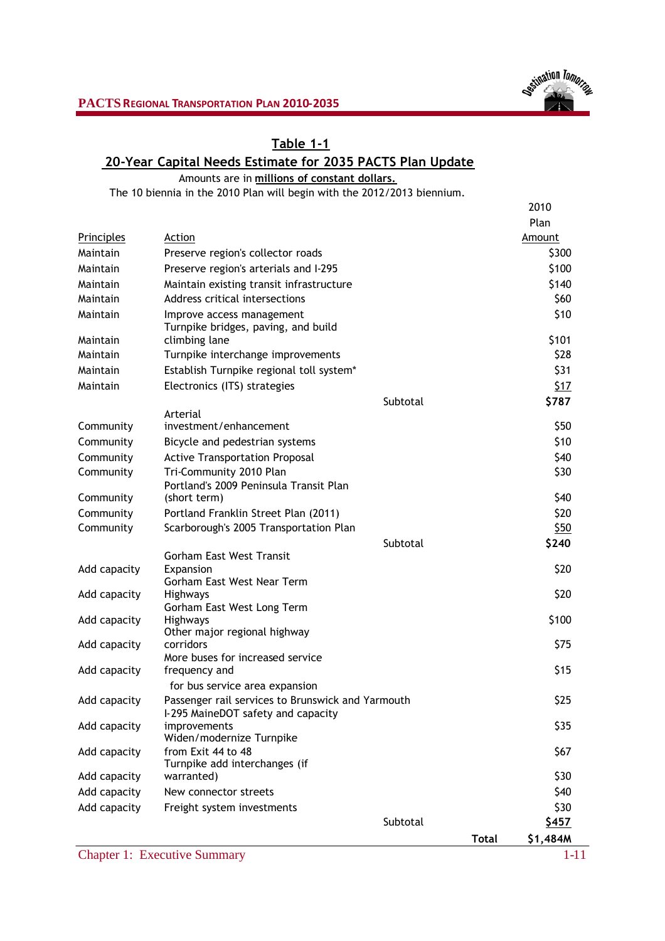

# **Table 1-1**

## **20-Year Capital Needs Estimate for 2035 PACTS Plan Update**

Amounts are in **millions of constant dollars.**

The 10 biennia in the 2010 Plan will begin with the 2012/2013 biennium.

|              |                                                                                     | 2010          |
|--------------|-------------------------------------------------------------------------------------|---------------|
|              |                                                                                     | Plan          |
| Principles   | Action                                                                              | Amount        |
| Maintain     | Preserve region's collector roads                                                   | \$300         |
| Maintain     | Preserve region's arterials and I-295                                               | \$100         |
| Maintain     | Maintain existing transit infrastructure                                            | \$140         |
| Maintain     | Address critical intersections                                                      | \$60          |
| Maintain     | Improve access management<br>Turnpike bridges, paving, and build                    | \$10          |
| Maintain     | climbing lane                                                                       | \$101         |
| Maintain     | Turnpike interchange improvements                                                   | \$28          |
| Maintain     | Establish Turnpike regional toll system*                                            | \$31          |
| Maintain     | Electronics (ITS) strategies                                                        | 517           |
|              | Subtotal                                                                            | \$787         |
|              | Arterial<br>investment/enhancement                                                  |               |
| Community    |                                                                                     | \$50          |
| Community    | Bicycle and pedestrian systems                                                      | \$10          |
| Community    | <b>Active Transportation Proposal</b>                                               | \$40          |
| Community    | Tri-Community 2010 Plan<br>Portland's 2009 Peninsula Transit Plan                   | \$30          |
| Community    | (short term)                                                                        | \$40          |
| Community    | Portland Franklin Street Plan (2011)                                                | \$20          |
| Community    | Scarborough's 2005 Transportation Plan                                              | \$50          |
|              | Subtotal                                                                            | \$240         |
|              | <b>Gorham East West Transit</b>                                                     |               |
| Add capacity | Expansion                                                                           | \$20          |
|              | Gorham East West Near Term                                                          | \$20          |
| Add capacity | Highways<br>Gorham East West Long Term                                              |               |
| Add capacity | Highways                                                                            | \$100         |
|              | Other major regional highway                                                        |               |
| Add capacity | corridors                                                                           | \$75          |
|              | More buses for increased service<br>frequency and                                   | \$15          |
| Add capacity |                                                                                     |               |
|              | for bus service area expansion<br>Passenger rail services to Brunswick and Yarmouth | \$25          |
| Add capacity | I-295 MaineDOT safety and capacity                                                  |               |
| Add capacity | improvements                                                                        | \$35          |
|              | Widen/modernize Turnpike                                                            |               |
| Add capacity | from Exit 44 to 48                                                                  | \$67          |
| Add capacity | Turnpike add interchanges (if                                                       | \$30          |
|              | warranted)<br>New connector streets                                                 | \$40          |
| Add capacity |                                                                                     |               |
| Add capacity | Freight system investments<br>Subtotal                                              | \$30<br>\$457 |
|              |                                                                                     |               |

**Total \$1,484M**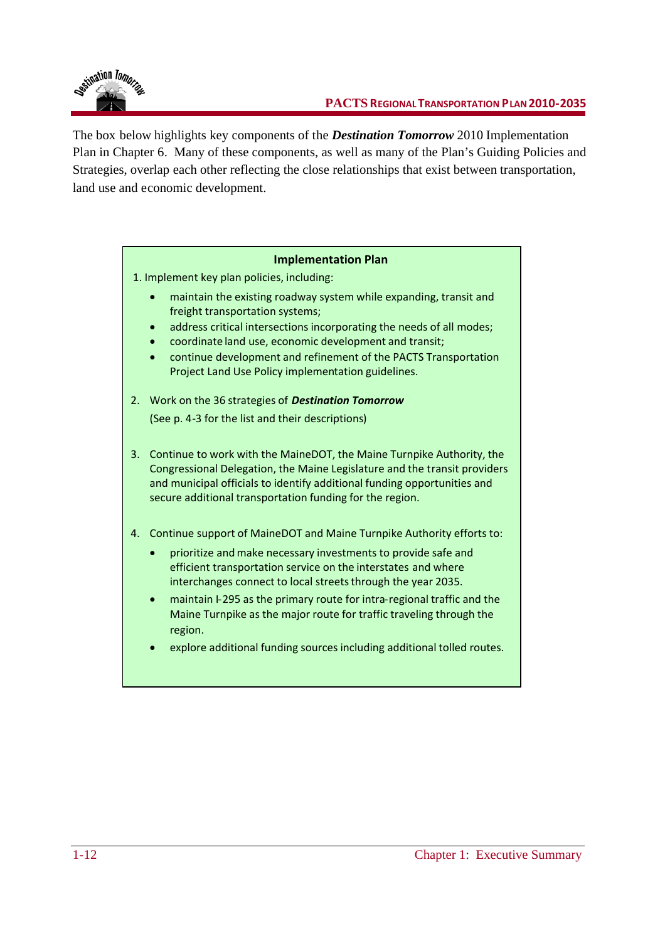

The box below highlights key components of the *Destination Tomorrow* 2010 Implementation Plan in Chapter 6. Many of these components, as well as many of the Plan's Guiding Policies and Strategies, overlap each other reflecting the close relationships that exist between transportation, land use and economic development.

### **Implementation Plan**

1. Implement key plan policies, including:

- maintain the existing roadway system while expanding, transit and freight transportation systems;
- address critical intersections incorporating the needs of all modes;
- coordinate land use, economic development and transit;
- continue development and refinement of the PACTS Transportation Project Land Use Policy implementation guidelines.
- 2. Work on the 36 strategies of *Destination Tomorrow* (See p. 4-3 for the list and their descriptions)
- 3. Continue to work with the MaineDOT, the Maine Turnpike Authority, the Congressional Delegation, the Maine Legislature and the transit providers and municipal officials to identify additional funding opportunities and secure additional transportation funding for the region.
- 4. Continue support of MaineDOT and Maine Turnpike Authority efforts to:
	- prioritize and make necessary investments to provide safe and efficient transportation service on the interstates and where interchanges connect to local streets through the year 2035.
	- maintain I-295 as the primary route for intra-regional traffic and the Maine Turnpike as the major route for traffic traveling through the region.
	- explore additional funding sources including additional tolled routes.